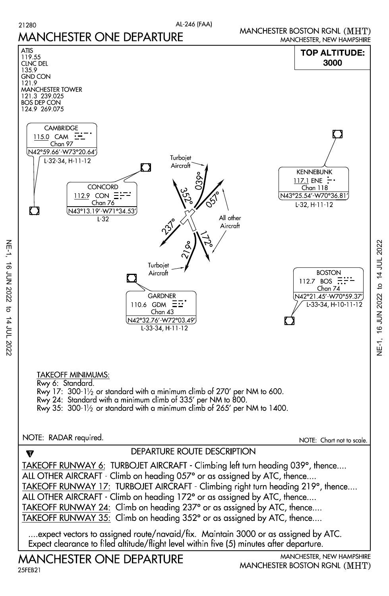AL-246 (FAA)



16 JUN 2022 to 14 JUL 2022 NE-1, 16 JUN 2022 to 14 JUL 2022、<br>马